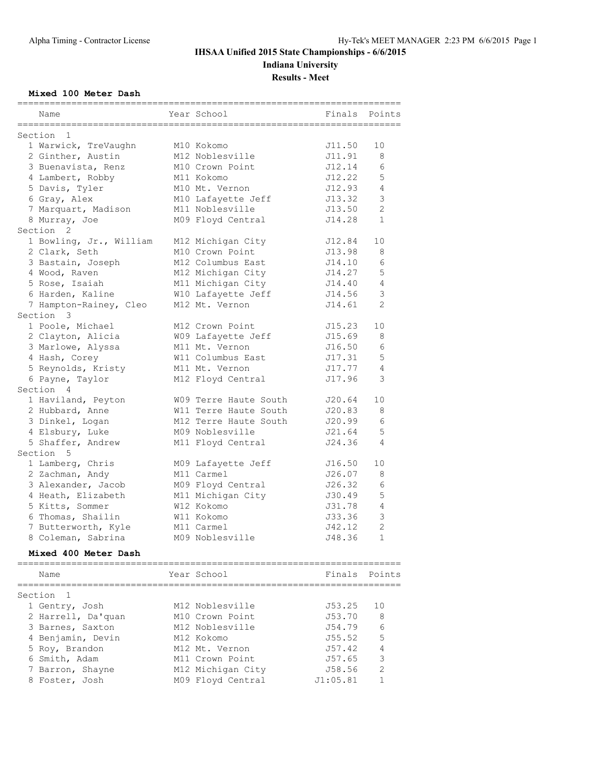# **IHSAA Unified 2015 State Championships - 6/6/2015 Indiana University**

**Results - Meet**

### **Mixed 100 Meter Dash**

| Name                                                   | Year School           | Finals   | Points         |
|--------------------------------------------------------|-----------------------|----------|----------------|
| ================                                       |                       |          |                |
| Section 1                                              |                       |          |                |
| 1 Warwick, TreVaughn                                   | M10 Kokomo            | J11.50   | 10             |
| 2 Ginther, Austin                                      | M12 Noblesville       | J11.91   | 8              |
| 3 Buenavista, Renz                                     | M10 Crown Point       | J12.14   | 6              |
| 4 Lambert, Robby                                       | M11 Kokomo            | J12.22   | 5              |
| 5 Davis, Tyler                                         | M10 Mt. Vernon        | J12.93   | 4              |
| 6 Gray, Alex                                           | M10 Lafayette Jeff    | J13.32   | 3              |
| 7 Marquart, Madison                                    | M11 Noblesville       | J13.50   | 2              |
| 8 Murray, Joe                                          | M09 Floyd Central     | J14.28   | $\mathbf{1}$   |
| Section <sub>2</sub>                                   |                       |          |                |
| 1 Bowling, Jr., William                                | M12 Michigan City     | J12.84   | 10             |
| 2 Clark, Seth                                          | M10 Crown Point       | J13.98   | 8              |
| 3 Bastain, Joseph                                      | M12 Columbus East     | J14.10   | 6              |
| 4 Wood, Raven                                          | M12 Michigan City     | J14.27   | 5              |
| 5 Rose, Isaiah                                         | M11 Michigan City     | J14.40   | $\overline{4}$ |
| 6 Harden, Kaline                                       | W10 Lafayette Jeff    | J14.56   | 3              |
|                                                        | M12 Mt. Vernon        | J14.61   | 2              |
| 7 Hampton-Rainey, Cleo<br>Section 3                    |                       |          |                |
|                                                        |                       |          |                |
| 1 Poole, Michael                                       | M12 Crown Point       | J15.23   | 10             |
| 2 Clayton, Alicia                                      | W09 Lafayette Jeff    | J15.69   | 8              |
| 3 Marlowe, Alyssa                                      | M11 Mt. Vernon        | J16.50   | 6              |
| 4 Hash, Corey                                          | W11 Columbus East     | J17.31   | 5              |
| 5 Reynolds, Kristy                                     | M11 Mt. Vernon        | J17.77   | $\overline{4}$ |
| 6 Payne, Taylor                                        | M12 Floyd Central     | J17.96   | 3              |
| Section 4                                              |                       |          |                |
| 1 Haviland, Peyton                                     | W09 Terre Haute South | J20.64   | 10             |
| 2 Hubbard, Anne                                        | W11 Terre Haute South | J20.83   | 8              |
| 3 Dinkel, Logan                                        | M12 Terre Haute South | J20.99   | 6              |
| 4 Elsbury, Luke                                        | M09 Noblesville       | J21.64   | 5              |
| 5 Shaffer, Andrew                                      | M11 Floyd Central     | J24.36   | 4              |
| Section 5                                              |                       |          |                |
| 1 Lamberg, Chris                                       | M09 Lafayette Jeff    | J16.50   | 10             |
| 2 Zachman, Andy                                        | M11 Carmel            | J26.07   | 8              |
| 3 Alexander, Jacob                                     | M09 Floyd Central     | J26.32   | 6              |
| 4 Heath, Elizabeth                                     | M11 Michigan City     | J30.49   | 5              |
| 5 Kitts, Sommer                                        | W12 Kokomo            | J31.78   | $\overline{4}$ |
| 6 Thomas, Shailin                                      | W11 Kokomo            | J33.36   | 3              |
| 7 Butterworth, Kyle                                    |                       | J42.12   | $\overline{2}$ |
|                                                        | M11 Carmel            |          |                |
| 8 Coleman, Sabrina                                     | M09 Noblesville       | J48.36   | 1              |
| Mixed 400 Meter Dash<br>============================== |                       |          |                |
| Name                                                   | Year School           | Finals   | Points         |
|                                                        |                       |          |                |
| Section<br>$\overline{1}$                              |                       |          |                |
| 1 Gentry, Josh                                         | M12 Noblesville       | J53.25   | 10             |
| 2 Harrell, Da'quan                                     | M10 Crown Point       | J53.70   | 8              |
| 3 Barnes, Saxton                                       | M12 Noblesville       | J54.79   | 6              |
| 4 Benjamin, Devin                                      | M12 Kokomo            | J55.52   | 5              |
| 5 Roy, Brandon                                         | M12 Mt. Vernon        | J57.42   | 4              |
| 6 Smith, Adam                                          | M11 Crown Point       | J57.65   | 3              |
| 7 Barron, Shayne                                       | M12 Michigan City     | J58.56   | 2              |
| 8 Foster, Josh                                         | M09 Floyd Central     | J1:05.81 | 1              |
|                                                        |                       |          |                |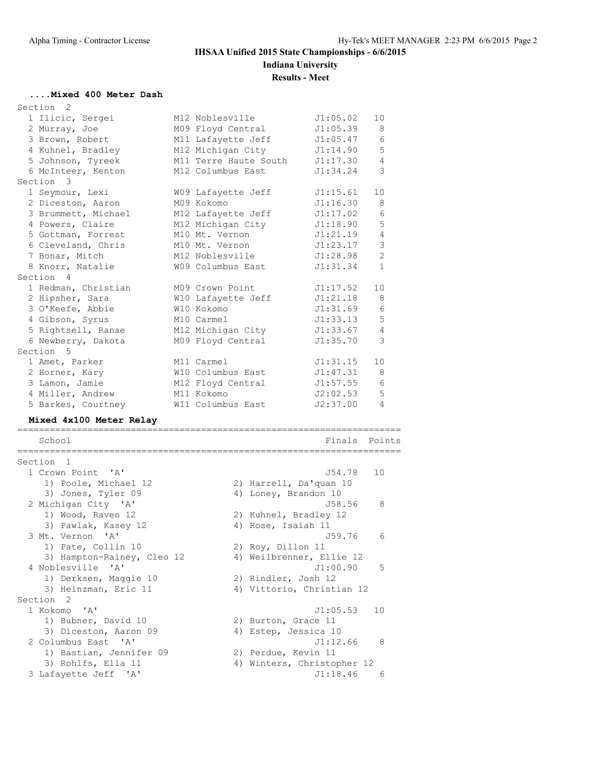# **IHSAA Unified 2015 State Championships - 6/6/2015 Indiana University**

# **Results - Meet**

### **....Mixed 400 Meter Dash**

Section 2

| Section<br>2          |                                                                                                                                                                                                                                                                                                                                                                                                 |                            |                                                                                                                                                                                                                                                                                                                                                                                                                                                                                                    |                                                                                                                                                                                                                            |
|-----------------------|-------------------------------------------------------------------------------------------------------------------------------------------------------------------------------------------------------------------------------------------------------------------------------------------------------------------------------------------------------------------------------------------------|----------------------------|----------------------------------------------------------------------------------------------------------------------------------------------------------------------------------------------------------------------------------------------------------------------------------------------------------------------------------------------------------------------------------------------------------------------------------------------------------------------------------------------------|----------------------------------------------------------------------------------------------------------------------------------------------------------------------------------------------------------------------------|
| 1 Ilicic, Sergei      |                                                                                                                                                                                                                                                                                                                                                                                                 |                            | J1:05.02                                                                                                                                                                                                                                                                                                                                                                                                                                                                                           | 10                                                                                                                                                                                                                         |
| 2 Murray, Joe         |                                                                                                                                                                                                                                                                                                                                                                                                 |                            | J1:05.39                                                                                                                                                                                                                                                                                                                                                                                                                                                                                           | 8                                                                                                                                                                                                                          |
| 3 Brown, Robert       |                                                                                                                                                                                                                                                                                                                                                                                                 |                            | J1:05.47                                                                                                                                                                                                                                                                                                                                                                                                                                                                                           | 6                                                                                                                                                                                                                          |
| 4 Kuhnel, Bradley     |                                                                                                                                                                                                                                                                                                                                                                                                 |                            | J1:14.90                                                                                                                                                                                                                                                                                                                                                                                                                                                                                           | 5                                                                                                                                                                                                                          |
| 5 Johnson, Tyreek     |                                                                                                                                                                                                                                                                                                                                                                                                 |                            | J1:17.30                                                                                                                                                                                                                                                                                                                                                                                                                                                                                           | $\overline{4}$                                                                                                                                                                                                             |
| 6 McInteer, Kenton    |                                                                                                                                                                                                                                                                                                                                                                                                 |                            | J1:34.24                                                                                                                                                                                                                                                                                                                                                                                                                                                                                           | 3                                                                                                                                                                                                                          |
| Section 3             |                                                                                                                                                                                                                                                                                                                                                                                                 |                            |                                                                                                                                                                                                                                                                                                                                                                                                                                                                                                    |                                                                                                                                                                                                                            |
| 1 Seymour, Lexi       |                                                                                                                                                                                                                                                                                                                                                                                                 |                            | J1:15.61                                                                                                                                                                                                                                                                                                                                                                                                                                                                                           | 10                                                                                                                                                                                                                         |
| 2 Diceston, Aaron     |                                                                                                                                                                                                                                                                                                                                                                                                 |                            | J1:16.30                                                                                                                                                                                                                                                                                                                                                                                                                                                                                           | 8                                                                                                                                                                                                                          |
|                       |                                                                                                                                                                                                                                                                                                                                                                                                 |                            | J1:17.02                                                                                                                                                                                                                                                                                                                                                                                                                                                                                           | 6                                                                                                                                                                                                                          |
| 4 Powers, Claire      |                                                                                                                                                                                                                                                                                                                                                                                                 |                            | J1:18.90                                                                                                                                                                                                                                                                                                                                                                                                                                                                                           | 5                                                                                                                                                                                                                          |
| 5 Gottman, Forrest    |                                                                                                                                                                                                                                                                                                                                                                                                 |                            | J1:21.19                                                                                                                                                                                                                                                                                                                                                                                                                                                                                           | 4                                                                                                                                                                                                                          |
| 6 Cleveland, Chris    |                                                                                                                                                                                                                                                                                                                                                                                                 |                            | J1:23.17                                                                                                                                                                                                                                                                                                                                                                                                                                                                                           | 3                                                                                                                                                                                                                          |
| 7 Bonar, Mitch        |                                                                                                                                                                                                                                                                                                                                                                                                 |                            | J1:28.98                                                                                                                                                                                                                                                                                                                                                                                                                                                                                           | $\overline{2}$                                                                                                                                                                                                             |
| 8 Knorr, Natalie      |                                                                                                                                                                                                                                                                                                                                                                                                 |                            |                                                                                                                                                                                                                                                                                                                                                                                                                                                                                                    | $\mathbf{1}$                                                                                                                                                                                                               |
| Section 4             |                                                                                                                                                                                                                                                                                                                                                                                                 |                            |                                                                                                                                                                                                                                                                                                                                                                                                                                                                                                    |                                                                                                                                                                                                                            |
| 1 Redman, Christian   |                                                                                                                                                                                                                                                                                                                                                                                                 |                            |                                                                                                                                                                                                                                                                                                                                                                                                                                                                                                    | 10                                                                                                                                                                                                                         |
| 2 Hipsher, Sara       |                                                                                                                                                                                                                                                                                                                                                                                                 |                            | J1:21.18                                                                                                                                                                                                                                                                                                                                                                                                                                                                                           | 8                                                                                                                                                                                                                          |
|                       |                                                                                                                                                                                                                                                                                                                                                                                                 |                            | J1:31.69                                                                                                                                                                                                                                                                                                                                                                                                                                                                                           | 6                                                                                                                                                                                                                          |
|                       |                                                                                                                                                                                                                                                                                                                                                                                                 |                            | J1:33.13                                                                                                                                                                                                                                                                                                                                                                                                                                                                                           | 5                                                                                                                                                                                                                          |
|                       |                                                                                                                                                                                                                                                                                                                                                                                                 |                            | J1:33.67                                                                                                                                                                                                                                                                                                                                                                                                                                                                                           | 4                                                                                                                                                                                                                          |
|                       |                                                                                                                                                                                                                                                                                                                                                                                                 |                            | J1:35.70                                                                                                                                                                                                                                                                                                                                                                                                                                                                                           | 3                                                                                                                                                                                                                          |
|                       |                                                                                                                                                                                                                                                                                                                                                                                                 |                            |                                                                                                                                                                                                                                                                                                                                                                                                                                                                                                    |                                                                                                                                                                                                                            |
|                       |                                                                                                                                                                                                                                                                                                                                                                                                 |                            | J1:31.15                                                                                                                                                                                                                                                                                                                                                                                                                                                                                           | 10                                                                                                                                                                                                                         |
|                       |                                                                                                                                                                                                                                                                                                                                                                                                 |                            |                                                                                                                                                                                                                                                                                                                                                                                                                                                                                                    | 8                                                                                                                                                                                                                          |
|                       |                                                                                                                                                                                                                                                                                                                                                                                                 |                            | J1:57.55                                                                                                                                                                                                                                                                                                                                                                                                                                                                                           | 6                                                                                                                                                                                                                          |
|                       |                                                                                                                                                                                                                                                                                                                                                                                                 |                            | J2:02.53                                                                                                                                                                                                                                                                                                                                                                                                                                                                                           | 5                                                                                                                                                                                                                          |
|                       |                                                                                                                                                                                                                                                                                                                                                                                                 |                            | J2:37.00                                                                                                                                                                                                                                                                                                                                                                                                                                                                                           | $\overline{4}$                                                                                                                                                                                                             |
|                       |                                                                                                                                                                                                                                                                                                                                                                                                 |                            |                                                                                                                                                                                                                                                                                                                                                                                                                                                                                                    |                                                                                                                                                                                                                            |
|                       |                                                                                                                                                                                                                                                                                                                                                                                                 |                            |                                                                                                                                                                                                                                                                                                                                                                                                                                                                                                    |                                                                                                                                                                                                                            |
|                       |                                                                                                                                                                                                                                                                                                                                                                                                 |                            |                                                                                                                                                                                                                                                                                                                                                                                                                                                                                                    |                                                                                                                                                                                                                            |
|                       |                                                                                                                                                                                                                                                                                                                                                                                                 |                            |                                                                                                                                                                                                                                                                                                                                                                                                                                                                                                    |                                                                                                                                                                                                                            |
| Section 1             |                                                                                                                                                                                                                                                                                                                                                                                                 |                            |                                                                                                                                                                                                                                                                                                                                                                                                                                                                                                    |                                                                                                                                                                                                                            |
| 1 Crown Point 'A'     |                                                                                                                                                                                                                                                                                                                                                                                                 |                            | J54.78                                                                                                                                                                                                                                                                                                                                                                                                                                                                                             | 10                                                                                                                                                                                                                         |
|                       |                                                                                                                                                                                                                                                                                                                                                                                                 |                            |                                                                                                                                                                                                                                                                                                                                                                                                                                                                                                    |                                                                                                                                                                                                                            |
|                       |                                                                                                                                                                                                                                                                                                                                                                                                 |                            |                                                                                                                                                                                                                                                                                                                                                                                                                                                                                                    |                                                                                                                                                                                                                            |
|                       |                                                                                                                                                                                                                                                                                                                                                                                                 |                            | J58.56                                                                                                                                                                                                                                                                                                                                                                                                                                                                                             | 8                                                                                                                                                                                                                          |
|                       |                                                                                                                                                                                                                                                                                                                                                                                                 |                            |                                                                                                                                                                                                                                                                                                                                                                                                                                                                                                    |                                                                                                                                                                                                                            |
|                       |                                                                                                                                                                                                                                                                                                                                                                                                 |                            |                                                                                                                                                                                                                                                                                                                                                                                                                                                                                                    |                                                                                                                                                                                                                            |
| 3 Mt. Vernon 'A'      |                                                                                                                                                                                                                                                                                                                                                                                                 |                            | J59.76                                                                                                                                                                                                                                                                                                                                                                                                                                                                                             | 6                                                                                                                                                                                                                          |
|                       |                                                                                                                                                                                                                                                                                                                                                                                                 |                            |                                                                                                                                                                                                                                                                                                                                                                                                                                                                                                    |                                                                                                                                                                                                                            |
|                       |                                                                                                                                                                                                                                                                                                                                                                                                 |                            |                                                                                                                                                                                                                                                                                                                                                                                                                                                                                                    |                                                                                                                                                                                                                            |
| 4 Noblesville 'A'     |                                                                                                                                                                                                                                                                                                                                                                                                 |                            | J1:00.90                                                                                                                                                                                                                                                                                                                                                                                                                                                                                           | 5                                                                                                                                                                                                                          |
| 1) Derksen, Maggie 10 |                                                                                                                                                                                                                                                                                                                                                                                                 |                            |                                                                                                                                                                                                                                                                                                                                                                                                                                                                                                    |                                                                                                                                                                                                                            |
|                       | 3 Brummett, Michael<br>3 O'Keefe, Abbie<br>4 Gibson, Syrus<br>5 Rightsell, Ranae<br>6 Newberry, Dakota<br>Section 5<br>1 Amet, Parker<br>2 Horner, Kary<br>3 Lamon, Jamie<br>4 Miller, Andrew<br>5 Barkes, Courtney<br>Mixed 4x100 Meter Relay<br>School<br>1) Poole, Michael 12<br>3) Jones, Tyler 09<br>2 Michigan City 'A'<br>1) Wood, Raven 12<br>3) Pawlak, Kasey 12<br>1) Pate, Collin 10 | 3) Hampton-Rainey, Cleo 12 | M12 Noblesville<br>M09 Floyd Central<br>M11 Lafayette Jeff<br>M12 Michigan City<br>M11 Terre Haute South<br>M12 Columbus East<br>W09 Lafayette Jeff<br>M09 Kokomo<br>M12 Lafayette Jeff<br>M12 Michigan City<br>M10 Mt. Vernon<br>M10 Mt. Vernon<br>M12 Noblesville<br>W09 Columbus East<br>M09 Crown Point<br>W10 Lafayette Jeff<br>W10 Kokomo<br>M10 Carmel<br>M12 Michigan City<br>M09 Floyd Central<br>M11 Carmel<br>W10 Columbus East<br>M12 Floyd Central<br>M11 Kokomo<br>W11 Columbus East | J1:31.34<br>J1:17.52<br>J1:47.31<br>Finals Points<br>2) Harrell, Da'quan 10<br>4) Loney, Brandon 10<br>2) Kuhnel, Bradley 12<br>4) Rose, Isaiah 11<br>2) Roy, Dillon 11<br>4) Weilbrenner, Ellie 12<br>2) Rindler, Josh 12 |

| 1) Pate, Collin 10 |                                                                                                                                                                                                                                                                              |             |                                                                                                                                                                                                       |
|--------------------|------------------------------------------------------------------------------------------------------------------------------------------------------------------------------------------------------------------------------------------------------------------------------|-------------|-------------------------------------------------------------------------------------------------------------------------------------------------------------------------------------------------------|
|                    |                                                                                                                                                                                                                                                                              |             |                                                                                                                                                                                                       |
|                    |                                                                                                                                                                                                                                                                              | J1:00.90 5  |                                                                                                                                                                                                       |
|                    |                                                                                                                                                                                                                                                                              |             |                                                                                                                                                                                                       |
|                    |                                                                                                                                                                                                                                                                              |             |                                                                                                                                                                                                       |
|                    |                                                                                                                                                                                                                                                                              |             |                                                                                                                                                                                                       |
|                    |                                                                                                                                                                                                                                                                              | J1:05.53 10 |                                                                                                                                                                                                       |
|                    |                                                                                                                                                                                                                                                                              |             |                                                                                                                                                                                                       |
|                    |                                                                                                                                                                                                                                                                              |             |                                                                                                                                                                                                       |
|                    |                                                                                                                                                                                                                                                                              | J1:12.66    | $_{\rm 8}$                                                                                                                                                                                            |
|                    |                                                                                                                                                                                                                                                                              |             |                                                                                                                                                                                                       |
|                    |                                                                                                                                                                                                                                                                              |             |                                                                                                                                                                                                       |
|                    |                                                                                                                                                                                                                                                                              | J1:18.46    | 6                                                                                                                                                                                                     |
|                    | 3) Hampton-Rainey, Cleo 12<br>4 Noblesville 'A'<br>1) Derksen, Maggie 10<br>3) Heinzman, Eric 11<br>ection 2<br>1 Kokomo 'A'<br>1) Bubner, David 10<br>3) Diceston, Aaron 09<br>2 Columbus East 'A'<br>1) Bastian, Jennifer 09<br>3) Rohlfs, Ella 11<br>3 Lafayette Jeff 'A' |             | 2) Roy, Dillon 11<br>4) Weilbrenner, Ellie 12<br>2) Rindler, Josh 12<br>4) Vittorio, Christian 12<br>2) Burton, Grace 11<br>4) Estep, Jessica 10<br>2) Perdue, Kevin 11<br>4) Winters, Christopher 12 |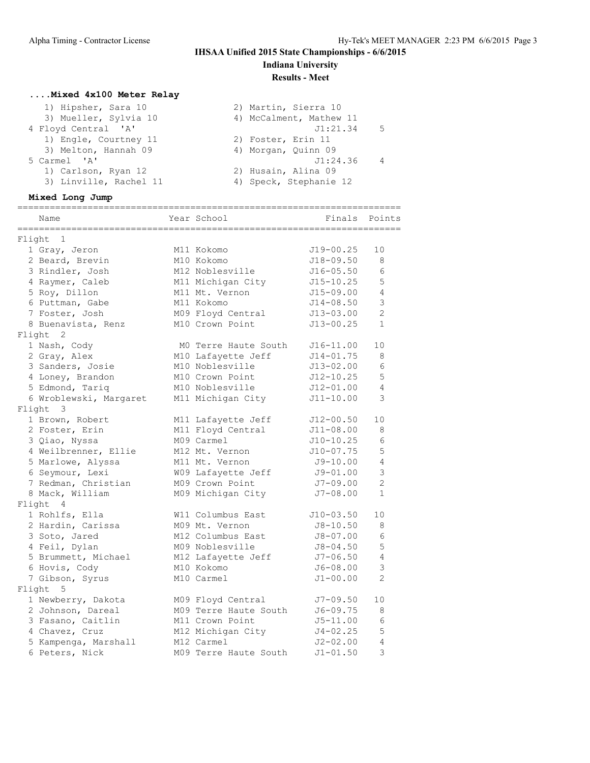# **IHSAA Unified 2015 State Championships - 6/6/2015**

**Indiana University Results - Meet**

## **....Mixed 4x100 Meter Relay**

| 1) Hipsher, Sara 10    | 2) Martin, Sierra 10       |
|------------------------|----------------------------|
| 3) Mueller, Sylvia 10  | 4) McCalment, Mathew 11    |
| 4 Floyd Central 'A'    | J1:21.34<br>- 5            |
| 1) Engle, Courtney 11  | 2) Foster, Erin 11         |
| 3) Melton, Hannah 09   | 4) Morgan, Quinn 09        |
| 5 Carmel 'A'           | J1:24.36<br>$\overline{4}$ |
| 1) Carlson, Ryan 12    | 2) Husain, Alina 09        |
| 3) Linville, Rachel 11 | 4) Speck, Stephanie 12     |

### **Mixed Long Jump**

| Name                     | ------------<br>Year School | Finals        | Points         |
|--------------------------|-----------------------------|---------------|----------------|
|                          |                             |               |                |
| Flight 1                 |                             |               |                |
| 1 Gray, Jeron            | M11 Kokomo                  | $J19 - 00.25$ | 10             |
| 2 Beard, Brevin          | M10 Kokomo                  | $J18 - 09.50$ | 8              |
| 3 Rindler, Josh          | M12 Noblesville             | $J16 - 05.50$ | 6              |
| 4 Raymer, Caleb          | M11 Michigan City           | $J15 - 10.25$ | 5              |
| 5 Roy, Dillon            | M11 Mt. Vernon              | $J15 - 09.00$ | 4              |
| 6 Puttman, Gabe          | M11 Kokomo                  | $J14 - 08.50$ | 3              |
| 7 Foster, Josh           | M09 Floyd Central           | $J13 - 03.00$ | $\overline{2}$ |
| 8 Buenavista, Renz       | M10 Crown Point             | $J13 - 00.25$ | $\mathbf{1}$   |
| Flight 2                 |                             |               |                |
| 1 Nash, Cody             | MO Terre Haute South        | $J16 - 11.00$ | 10             |
| 2 Gray, Alex             | M10 Lafayette Jeff          | $J14 - 01.75$ | 8              |
| 3 Sanders, Josie         | M10 Noblesville             | $J13 - 02.00$ | 6              |
| 4 Loney, Brandon         | M10 Crown Point             | J12-10.25     | 5              |
| 5 Edmond, Tariq          | M10 Noblesville             | $J12 - 01.00$ | 4              |
| 6 Wroblewski, Margaret   | M11 Michigan City           | $J11 - 10.00$ | 3              |
| Flight 3                 |                             |               |                |
| 1 Brown, Robert          | M11 Lafayette Jeff          | $J12 - 00.50$ | 10             |
| 2 Foster, Erin           | M11 Floyd Central           | $J11 - 08.00$ | 8              |
| 3 Qiao, Nyssa            | M09 Carmel                  | $J10-10.25$   | 6              |
| 4 Weilbrenner, Ellie     | M12 Mt. Vernon              | $J10-07.75$   | 5              |
| 5 Marlowe, Alyssa        | M11 Mt. Vernon              | J9-10.00      | 4              |
| 6 Seymour, Lexi          | W09 Lafayette Jeff          | $J9 - 01.00$  | 3              |
| 7 Redman, Christian      | M09 Crown Point             | $J7 - 09.00$  | $\overline{2}$ |
| 8 Mack, William          | M09 Michigan City           | $J7-08.00$    | $\mathbf{1}$   |
| $\overline{4}$<br>Flight |                             |               |                |
| 1 Rohlfs, Ella           | W11 Columbus East           | $J10-03.50$   | 10             |
| 2 Hardin, Carissa        | M09 Mt. Vernon              | $J8 - 10.50$  | 8              |
| 3 Soto, Jared            | M12 Columbus East           | $J8 - 07.00$  | 6              |
| 4 Feil, Dylan            | M09 Noblesville             | $J8 - 04.50$  | 5              |
| 5 Brummett, Michael      | M12 Lafayette Jeff          | $J7 - 06.50$  | $\overline{4}$ |
| 6 Hovis, Cody            | M10 Kokomo                  | J6-08.00      | $\mathcal{S}$  |
| 7 Gibson, Syrus          | M10 Carmel                  | $J1 - 00.00$  | $\overline{2}$ |
| Flight<br>5              |                             |               |                |
| 1 Newberry, Dakota       | M09 Floyd Central           | J7-09.50      | 10             |
| 2 Johnson, Dareal        | M09 Terre Haute South       | $J6 - 09.75$  | 8              |
| 3 Fasano, Caitlin        | M11 Crown Point             | $J5 - 11.00$  | 6              |
| 4 Chavez, Cruz           | M12 Michigan City           | $J4 - 02.25$  | 5              |
| 5 Kampenga, Marshall     | M12 Carmel                  | $J2 - 02.00$  | $\overline{4}$ |
| 6 Peters, Nick           | M09 Terre Haute South       | $J1 - 01.50$  | 3              |